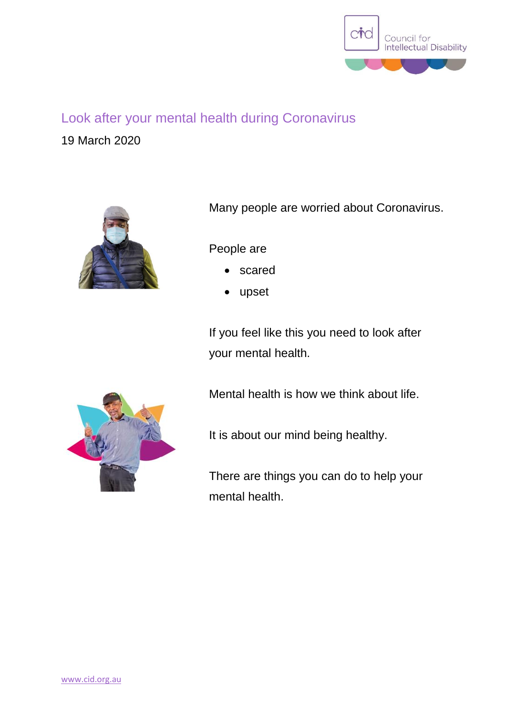

## Look after your mental health during Coronavirus

19 March 2020



Many people are worried about Coronavirus.

People are

- scared
- upset

If you feel like this you need to look after your mental health.

Mental health is how we think about life.



There are things you can do to help your mental health.

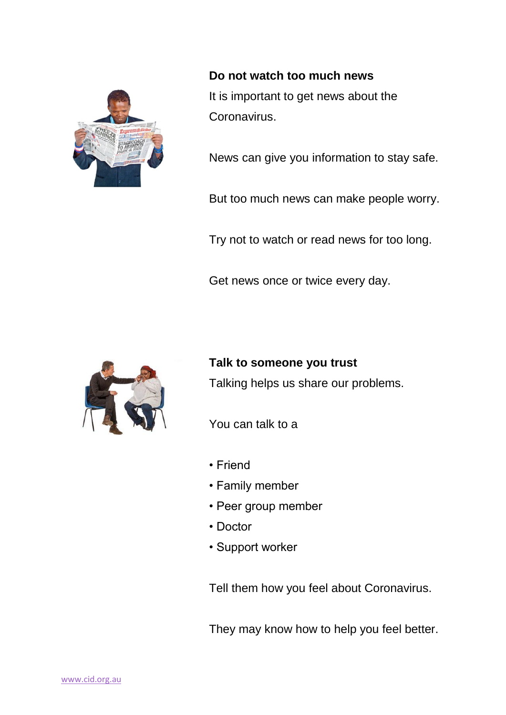

**Do not watch too much news** It is important to get news about the Coronavirus.

News can give you information to stay safe.

But too much news can make people worry.

Try not to watch or read news for too long.

Get news once or twice every day.



**Talk to someone you trust**

Talking helps us share our problems.

You can talk to a

- Friend
- Family member
- Peer group member
- Doctor
- Support worker

Tell them how you feel about Coronavirus.

They may know how to help you feel better.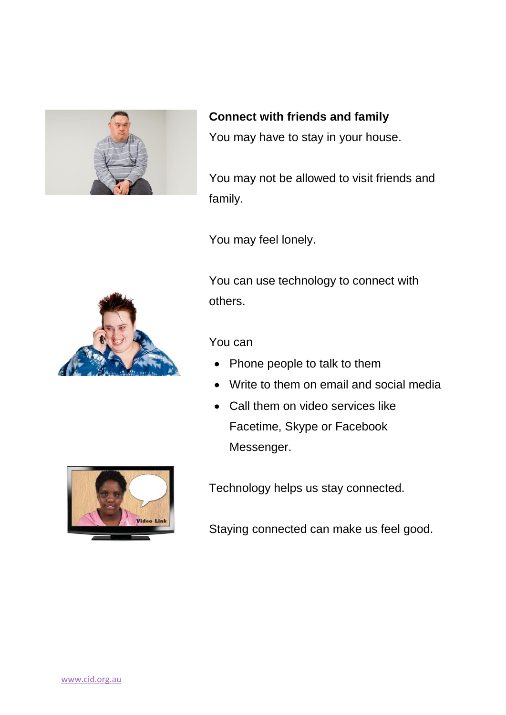

**Connect with friends and family**

You may have to stay in your house.

You may not be allowed to visit friends and family.

You may feel lonely.

You can use technology to connect with others.

## You can

- Phone people to talk to them
- Write to them on email and social media
- Call them on video services like Facetime, Skype or Facebook Messenger.



Technology helps us stay connected.

Staying connected can make us feel good.